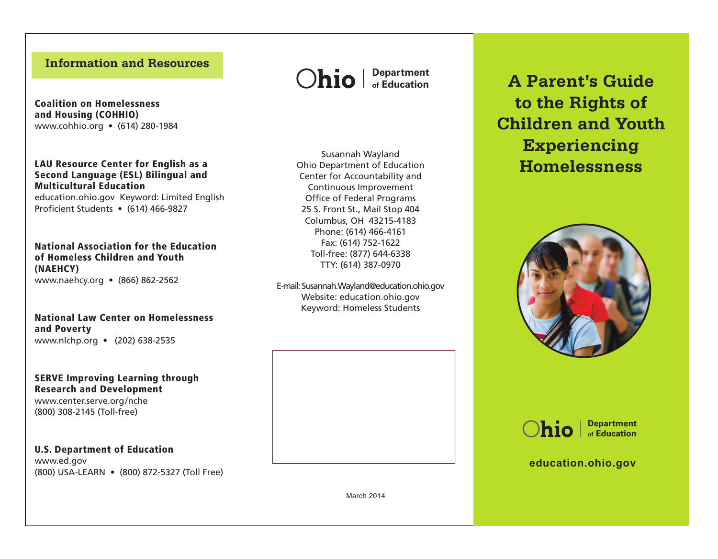## **Information and Resources**

**Coalition on Homelessness and Housing (COHHIO)** www.cohhio.org • (614) 280-1984

**LAU Resource Center for English as a Second Language (ESL) Bilingual and Multicultural Education** education.ohio.gov Keyword: Limited English

Proficient Students • (614) 466-9827

**National Association for the Education of Homeless Children and Youth (NAEHCY)** www.naehcy.org • (866) 862-2562

**National Law Center on Homelessness and Poverty** www.nlchp.org • (202) 638-2535

#### **SERVE Improving Learning through Research and Development**

www.center.serve.org/nche (800) 308-2145 (Toll-free)

#### **U.S. Department of Education**

www.ed.gov (800) USA-LEARN • (800) 872-5327 (Toll Free)



Susannah Wayland Ohio Department of Education Center for Accountability and Continuous Improvement Office of Federal Programs 25 S. Front St., Mail Stop 404 Columbus, OH 43215-4183 Phone: (614) 466-4161 Fax: (614) 752-1622 Toll-free: (877) 644-6338 TTY: (614) 387-0970

E-mail: Susannah.Wayland@education.ohio.gov Website: education.ohio.gov Keyword: Homeless Students



**A Parent's Guide to the Rights of Children and Youth Experiencing Homelessness**



**Department of Education**



March 2014